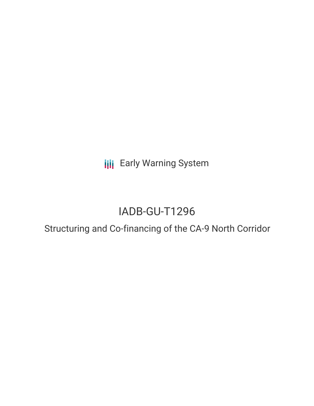**III** Early Warning System

# IADB-GU-T1296

## Structuring and Co-financing of the CA-9 North Corridor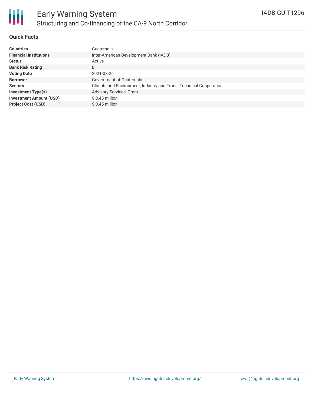

#### **Quick Facts**

| <b>Countries</b>               | Guatemala                                                          |
|--------------------------------|--------------------------------------------------------------------|
| <b>Financial Institutions</b>  | Inter-American Development Bank (IADB)                             |
| <b>Status</b>                  | Active                                                             |
| <b>Bank Risk Rating</b>        | B                                                                  |
| <b>Voting Date</b>             | 2021-08-26                                                         |
| <b>Borrower</b>                | Government of Guatemala                                            |
| <b>Sectors</b>                 | Climate and Environment, Industry and Trade, Technical Cooperation |
| <b>Investment Type(s)</b>      | Advisory Services, Grant                                           |
| <b>Investment Amount (USD)</b> | $$0.45$ million                                                    |
| <b>Project Cost (USD)</b>      | $$0.45$ million                                                    |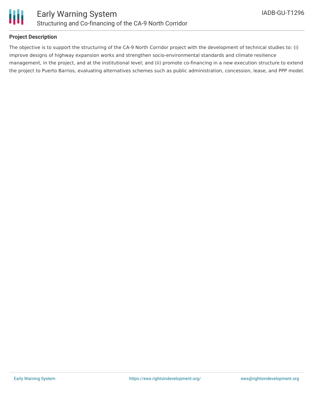

### **Project Description**

The objective is to support the structuring of the CA-9 North Corridor project with the development of technical studies to: (i) improve designs of highway expansion works and strengthen socio-environmental standards and climate resilience management, in the project, and at the institutional level; and (ii) promote co-financing in a new execution structure to extend the project to Puerto Barrios, evaluating alternatives schemes such as public administration, concession, lease, and PPP model.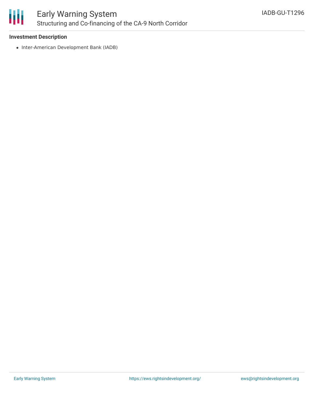

### **Investment Description**

• Inter-American Development Bank (IADB)